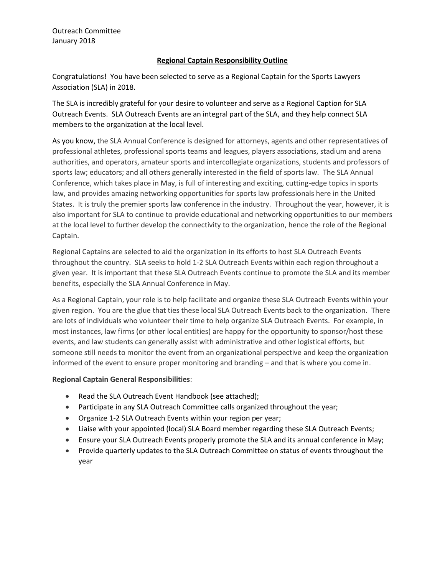## **Regional Captain Responsibility Outline**

Congratulations! You have been selected to serve as a Regional Captain for the Sports Lawyers Association (SLA) in 2018.

The SLA is incredibly grateful for your desire to volunteer and serve as a Regional Caption for SLA Outreach Events. SLA Outreach Events are an integral part of the SLA, and they help connect SLA members to the organization at the local level.

As you know, the SLA Annual Conference is designed for attorneys, agents and other representatives of professional athletes, professional sports teams and leagues, players associations, stadium and arena authorities, and operators, amateur sports and intercollegiate organizations, students and professors of sports law; educators; and all others generally interested in the field of sports law. The SLA Annual Conference, which takes place in May, is full of interesting and exciting, cutting-edge topics in sports law, and provides amazing networking opportunities for sports law professionals here in the United States. It is truly the premier sports law conference in the industry. Throughout the year, however, it is also important for SLA to continue to provide educational and networking opportunities to our members at the local level to further develop the connectivity to the organization, hence the role of the Regional Captain.

Regional Captains are selected to aid the organization in its efforts to host SLA Outreach Events throughout the country. SLA seeks to hold 1-2 SLA Outreach Events within each region throughout a given year. It is important that these SLA Outreach Events continue to promote the SLA and its member benefits, especially the SLA Annual Conference in May.

As a Regional Captain, your role is to help facilitate and organize these SLA Outreach Events within your given region. You are the glue that ties these local SLA Outreach Events back to the organization. There are lots of individuals who volunteer their time to help organize SLA Outreach Events. For example, in most instances, law firms (or other local entities) are happy for the opportunity to sponsor/host these events, and law students can generally assist with administrative and other logistical efforts, but someone still needs to monitor the event from an organizational perspective and keep the organization informed of the event to ensure proper monitoring and branding – and that is where you come in.

### **Regional Captain General Responsibilities**:

- Read the SLA Outreach Event Handbook (see attached);
- Participate in any SLA Outreach Committee calls organized throughout the year;
- Organize 1-2 SLA Outreach Events within your region per year;
- Liaise with your appointed (local) SLA Board member regarding these SLA Outreach Events;
- Ensure your SLA Outreach Events properly promote the SLA and its annual conference in May;
- Provide quarterly updates to the SLA Outreach Committee on status of events throughout the year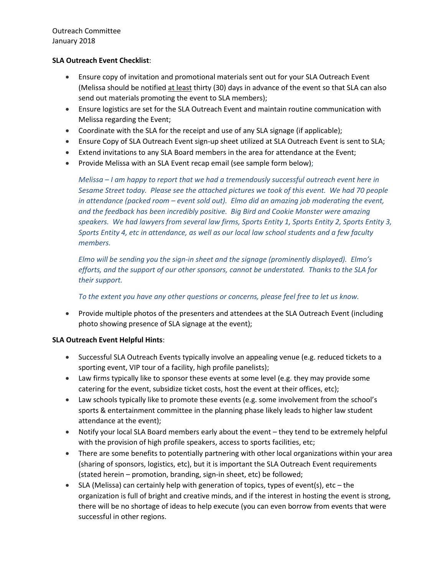Outreach Committee January 2018

## **SLA Outreach Event Checklist**:

- Ensure copy of invitation and promotional materials sent out for your SLA Outreach Event (Melissa should be notified at least thirty (30) days in advance of the event so that SLA can also send out materials promoting the event to SLA members);
- Ensure logistics are set for the SLA Outreach Event and maintain routine communication with Melissa regarding the Event;
- Coordinate with the SLA for the receipt and use of any SLA signage (if applicable);
- Ensure Copy of SLA Outreach Event sign-up sheet utilized at SLA Outreach Event is sent to SLA;
- Extend invitations to any SLA Board members in the area for attendance at the Event;
- Provide Melissa with an SLA Event recap email (see sample form below);

*Melissa – I am happy to report that we had a tremendously successful outreach event here in Sesame Street today. Please see the attached pictures we took of this event. We had 70 people in attendance (packed room – event sold out). Elmo did an amazing job moderating the event, and the feedback has been incredibly positive. Big Bird and Cookie Monster were amazing speakers. We had lawyers from several law firms, Sports Entity 1, Sports Entity 2, Sports Entity 3, Sports Entity 4, etc in attendance, as well as our local law school students and a few faculty members.*

*Elmo will be sending you the sign-in sheet and the signage (prominently displayed). Elmo's efforts, and the support of our other sponsors, cannot be understated. Thanks to the SLA for their support.*

# *To the extent you have any other questions or concerns, please feel free to let us know.*

• Provide multiple photos of the presenters and attendees at the SLA Outreach Event (including photo showing presence of SLA signage at the event);

# **SLA Outreach Event Helpful Hints**:

- Successful SLA Outreach Events typically involve an appealing venue (e.g. reduced tickets to a sporting event, VIP tour of a facility, high profile panelists);
- Law firms typically like to sponsor these events at some level (e.g. they may provide some catering for the event, subsidize ticket costs, host the event at their offices, etc);
- Law schools typically like to promote these events (e.g. some involvement from the school's sports & entertainment committee in the planning phase likely leads to higher law student attendance at the event);
- Notify your local SLA Board members early about the event they tend to be extremely helpful with the provision of high profile speakers, access to sports facilities, etc;
- There are some benefits to potentially partnering with other local organizations within your area (sharing of sponsors, logistics, etc), but it is important the SLA Outreach Event requirements (stated herein – promotion, branding, sign-in sheet, etc) be followed;
- $\bullet$  SLA (Melissa) can certainly help with generation of topics, types of event(s), etc the organization is full of bright and creative minds, and if the interest in hosting the event is strong, there will be no shortage of ideas to help execute (you can even borrow from events that were successful in other regions.